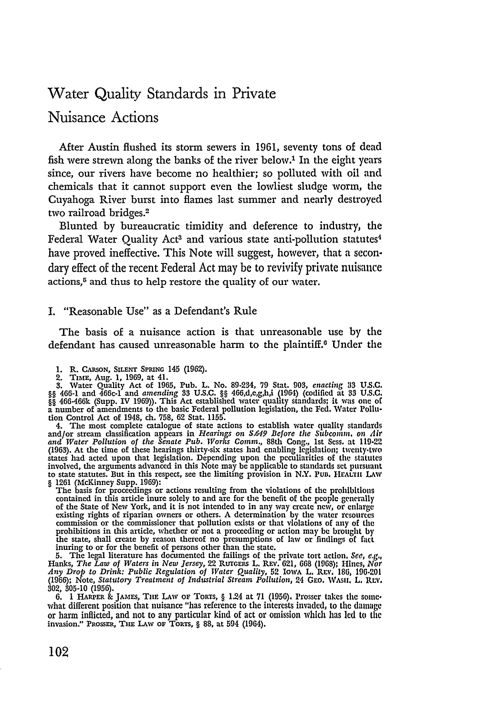# Water Quality Standards in Private

## Nuisance Actions

After Austin flushed its storm sewers in **1961,** seventy tons of dead fish were strewn along the banks of the river below.<sup>1</sup> In the eight years since, our rivers have become no healthier; so polluted with oil and chemicals that it cannot support even the lowliest sludge worm, the Cuyahoga River burst into flames last summer and nearly destroyed two railroad bridges.2

Blunted **by** bureaucratic timidity and deference to industry, the Federal Water Quality Act<sup>3</sup> and various state anti-pollution statutes<sup>4</sup> have proved ineffective. This Note will suggest, however, that a secondary effect of the recent Federal Act may be to revivify private nuisance actions,<sup>5</sup> and thus to help restore the quality of our water.

## I. "Reasonable Use" as a Defendant's Rule

The basis of a nuisance action is that unreasonable use by the defendant has caused unreasonable harm to the plaintiff.<sup>6</sup> Under the

- 1. R. **CARSON, SILENT SPRING** 145 (1962).
- 

2. TIME, Aug. 1, 1969, at 41.<br>3. Water Quality Act of 1965, Pub. L. No. 89-234, 79 Stat. 903, enacting 33 U.S.C.<br>§§ 466-1 and 466c-1 and amending 33 U.S.C. §§ 466,d,e,g,h,i (1964) (codified at 33 U.S.C.<br>§§ 466-466k (Supp. a number of amendments to the basic Federal pollution legislation, the Fed. Water Pollu-<br>tion Control Act of 1948, ch. 758, 62 Stat. 1155.

4. The most complete catalogue of state actions to establish water quality standards and/or stream classification appears in *Hearings on S.649 Before the Subconim. on Air*<br>and Water Pollution of the Senate Pub. Works Comm., 88th Cong., 1st Sess. at 119-22<br>(1963). At the time of these hearings thirty-six s involved, the arguments advanced in this Note may be applicable to standards set pursuant to state statutes. But in this respect, see the limiting provision in N.Y. Pun. IEAL'rll **LAW**

S 1261 (McKinney Supp. 1969):<br>The basis for proceedings or actions resulting from the violations of the prohibitions<br>contained in this article inure solely to and are for the benefit of the people generally<br>of the State of existing rights of riparian owners or others. A determination **by** the water resources commission or the commissioner that pollution exists or that violations of any of tile prohibitions in this article, whether or not a proceeding or action may be brought by the state, shall create by reason thereof no presumptions of law or findings of fact inuring to or for the benefit of persons other than the state.

**5.** The legal literature has documented the failings of the private tort action. *See, e.g.,* Hanks, *The Law of Waters in New Jersey,* 22 RuTGEs **L.** REv. **621, 668 (1968);** Hines, *Nor Any Drop to Drink: Public Regulation of Water Quality,* **52 IowA** L. REv. 186, 196-201 (1966); Note, *Statutory Treatment of Industrial Stream Pollution,* 24 GEo. WASlh L. Rtv.

302, 305-10 (1956). **6.** 1 **HARPER &** JAMES, **THE** LAw **OF** ToRTs, § 1.24 at 71 (1956). Prosser takes the somewhat different position that nuisance "has reference to the interests invaded, to the danage or harm inflicted, and not to any particular kind of act or omission which has led to the<br>invasion." Prosser, THE LAW OF TORTS, § 88, at 594 (1964).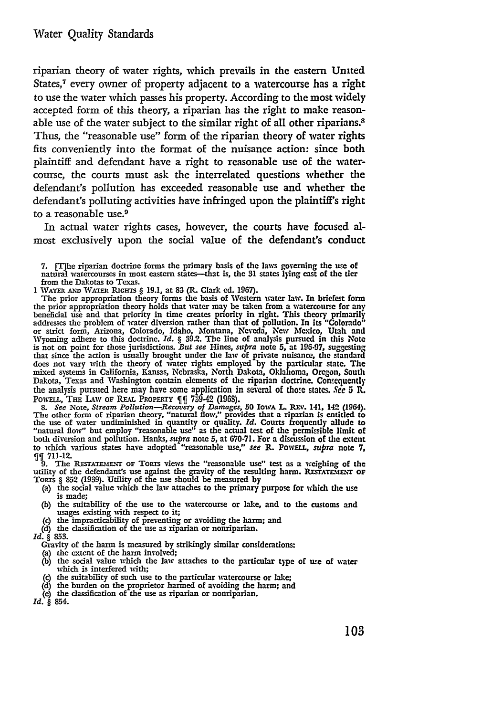riparian theory of water rights, which prevails in the eastern United States,<sup>7</sup> every owner of property adjacent to a watercourse has a right to use the water which passes his property. According to the most widely accepted form of this theory, a riparian has the right to make reasonable use of the water subject to the similar right of all other riparians.<sup>8</sup> Thus, the "reasonable use" form of the riparian theory of water rights fits conveniently into the format of the nuisance action: since both plaintiff and defendant have a right to reasonable use of the watercourse, the courts must ask the interrelated questions whether the defendant's pollution has exceeded reasonable use and whether the defendant's polluting activities have infringed upon the plaintiff's right to a reasonable use.9

In actual water rights cases, however, the courts have focused almost exclusively upon the social value of the defendant's conduct

7. [T]he riparian doctrine forms the primary basis of the laws governing the use of natural watercourses in most eastern states-that is, the 31 states lying east of the tier from the Dakotas to Texas.

1 WATER **AND WTATER RIGHTS** § 19.1, at 83 (R. Clark ed. 1967).

The prior appropriation theory forms the basis of Western **water** law. In briefest form the prior appropriation theory holds that water may be taken from a watercourse for any beneficial use and that priority in time creates priority in right. This theory primarily<br>addresses the problem of water diversion rather than that of pollution. In its "Colorado"<br>or strict form, Arizona, Colorado, Idaho, Wyoming adhere to this doctrine. *Id.* § 39.2. The line of analysis pursued in this Note is not on point for those jurisdictions. *But see* Hines, *supra* note 5, at 196-97, suggesting that since the action is usually brou does not vary with the theory of water rights employed by the particular state. The mixed systems in California, Kansas, Nebraska, North Dakota, Oklahoma, Oregon, South Dakota, Texas and Washington contain elements of the riparian doctrine. Consequently the analysis pursued here may have some application in several of thomc states. *See* **5** R. Powell, The Law of Real Property **J1** 739-42 (1968).

8. See Note, Stream Pollution—Recovery of Damages, 50 Iowa L. REV. 141, 142 (1964). The other form of riparian theory, "natural flow," provides that a riparian is entitled to the use of water undiminished in quantity or qu both diversion and pollution. Hanks, *supra* note **5,** at **670-71.** For a discussion of the extent to which various states have adopted "reasonable use," *see IL* **POWELL,** *supra* note *7,*

**9.** The RESTATEMENT OF TORTS views the "reasonable use" test as a weighing of the utility of the defendant's use against the gravity of the resulting harm. RESTATEMENT OF **ToRTs** § **852 (1939).** Utility of the use should be measured **by**

- (a) the social value which the law attaches to the primary purpose for which the **use** is made;
- **(b)** the suitability of the use to the watercourse or lake, and to the customs and usages existing with respect to it;
- (c) the impracticability of preventing or avoiding the harm; and
- (d) the classification of the use as riparian or nonriparian. *Id. §* **853.**

Id. § 853.<br>Gravity of the harm is measured by strikingly similar considerations:

- (a) the extent of the harm involved;
- **(b)** the social value which the law attaches to the particular type **of** use of uater which is interfered with;
- (c) the suitability of such use to the particular watercourse or **lake;**
- **(d)** the burden on the proprietor harmed of avoiding the harm; and
- (e) the classification of the use as riparian or nonriparian. *Id. §* 854.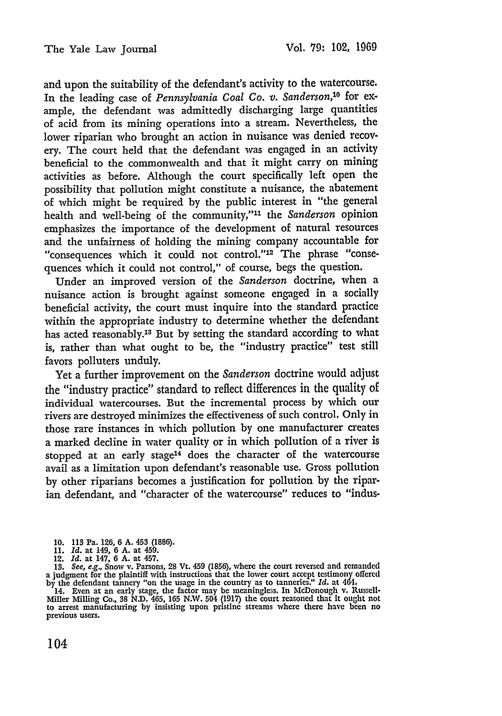and upon the suitability of the defendant's activity to the watercourse. In the leading case of *Pennsylvania Coal Co. v. Sanderson*,<sup>10</sup> for example, the defendant was admittedly discharging large quantities of acid from its mining operations into a stream. Nevertheless, the lower riparian who brought an action in nuisance was denied recovery. The court held that the defendant was engaged in an activity beneficial to the commonwealth and that it might carry on mining activities as before. Although the court specifically left open the possibility that pollution might constitute a nuisance, the abatement of which might be required by the public interest in "the general health and well-being of the community,"<sup>11</sup> the *Sanderson* opinion emphasizes the importance of the development of natural resources and the unfairness of holding the mining company accountable for "consequences which it could not control."<sup>12</sup> The phrase "consequences which it could not control," of course, begs the question.

Under an improved version of the *Sanderson* doctrine, when a nuisance action is brought against someone engaged in a socially beneficial activity, the court must inquire into the standard practice within the appropriate industry to determine whether the defendant has acted reasonably.<sup>13</sup> But by setting the standard according to what is, rather than what ought to be, the "industry practice" test still favors polluters unduly.

Yet a further improvement on the *Sanderson* doctrine would adjust the "industry practice" standard to reflect differences in the quality of individual watercourses. But the incremental process by which our rivers are destroyed minimizes the effectiveness of such control. Only in those rare instances in which pollution by one manufacturer creates a marked decline in water quality or in which pollution of a river is stopped at an early stage<sup>14</sup> does the character of the watercourse avail as a limitation upon defendant's reasonable use. Gross pollution by other riparians becomes a justification for pollution by the riparian defendant, and "character of the watercourse" reduces to "indus-

- **10. 113** Pa. **126,** 6 A. 453 **(1886).** *11. Id.* at 149, **6** A. at 459.
- 
- 

12. *Id.* at 147, 6 A. at 457. **13.** *See, e.g.,* Snow v. Parsons, **28** Vt. 459 (1856), where the court reversed and remanded a judgment for the plaintiff with instructions that the lower court accept testimony offered<br>by the defendant tannery "on the usage in the country as to tanneries." Id. at 464.<br>14. Even at an early stage, the factor may be

Miller Miling Co., **38** *NJ).* 465, **165** N.W. 504 (1917) the court reasoned that It ought not to arrest manufacturing by insisting upon pristine streams where there have been no previous users.

104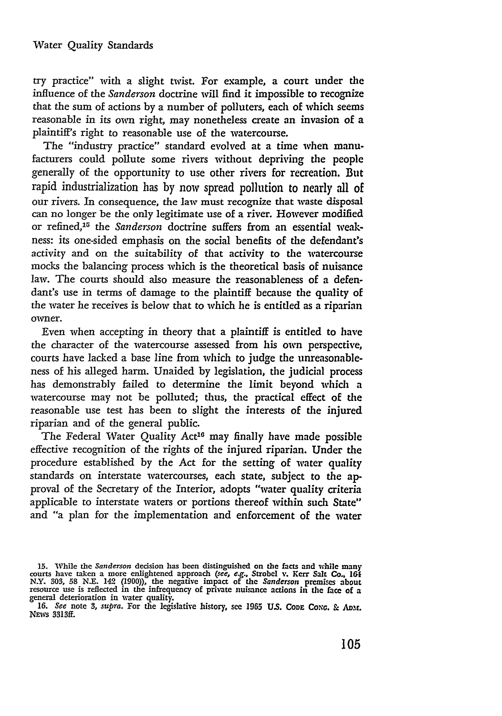try practice" with a slight twist. For example, a court under the influence of the *Sanderson* doctrine will find it impossible to recognize that the sum of actions **by** a number of polluters, each of which seems reasonable in its **own** right, may nonetheless create an invasion of a plaintiff's right to reasonable use of the watercourse.

The "industry practice" standard evolved at a time when manufacturers could pollute some rivers without depriving the people generally of the opportunity to use other rivers for recreation. But rapid industrialization has **by** now spread pollution to nearly all of our rivers. In consequence, the law must recognize that waste disposal can no longer be the only legitimate use of a river. However modified or refined,<sup>15</sup> the *Sanderson* doctrine suffers from an essential weakness: its one-sided emphasis on the social benefits of the defendant's activity and on the suitability of that activity to the watercourse mocks the balancing process which is the theoretical basis of nuisance law. The courts should also measure the reasonableness of a defendant's use in terms of damage to the plaintiff because the quality of the water he receives is below that to which he is entitled as a riparian owner.

Even when accepting in theory that a plaintiff is entitled to have the character of the watercourse assessed from his own perspective, courts have lacked a base line from which to judge the unreasonableness of his alleged harm. Unaided by legislation, the judicial process has demonstrably failed to determine the limit beyond which a watercourse may not be polluted; thus, the practical effect of the reasonable use test has been to slight the interests of the injured riparian and of the general public.

The Federal Water Quality Act<sup>16</sup> may finally have made possible effective recognition of the rights of the injured riparian. Under the procedure established by the Act for the setting of water quality standards on interstate watercourses, each state, subject to the approval of the Secretary of the Interior, adopts "water quality criteria applicable to interstate waters or portions thereof within such State" and "a plan for the implementation and enforcement of the water

**<sup>15.</sup>** While the *Sanderson* decision has been distinguished on the facts and while many courts have taken a more enlightened approach *(see, e.g.,* Strobel v. Kerr Salt **Co., 164** N.Y. 303, 58 N.E. 142 (1900)), the negative impact of the Sanderson premises about resource use is reflected in the infrequency of private nuisance actions in the face of a general deterioration in water quality. 16. *CONET ALCORD AND THE LET CONDENSE ASSEMBLE 16. See note 3, supra.* **For the legislative history, see 1965 U.S. CODE CONG. & ADM.** 

NEWS 3313ff.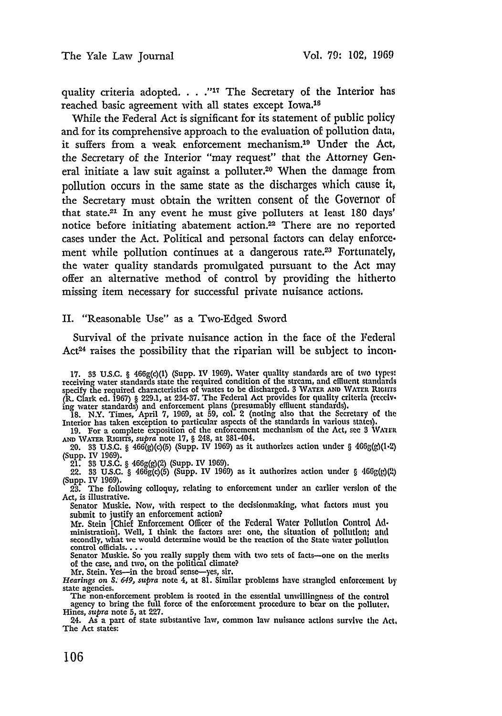quality criteria adopted. . . . "<sup>17</sup> The Secretary of the Interior has reached basic agreement with all states except **Iowa.<sup>18</sup>**

While the Federal Act is significant for its statement of public policy and for its comprehensive approach to the evaluation of pollution data, it suffers from a weak enforcement mechanism.<sup>10</sup> Under the Act, the Secretary of the Interior "may request" that the Attorney General initiate a law suit against a polluter.<sup>20</sup> When the damage from pollution occurs in the same state as the discharges which cause it, the Secretary must obtain the written consent of the Governor of that state.<sup>2</sup> 1 In any event he must give polluters at least **180** days' notice before initiating abatement action.<sup>22</sup> There are no reported cases under the Act. Political and personal factors can delay enforce. ment while pollution continues at a dangerous rate.<sup>23</sup> Fortunately, the water quality standards promulgated pursuant to the Act may offer an alternative method of control **by** providing the hitherto missing item necessary for successful private nuisance actions.

### II. "Reasonable Use" as a Two-Edged Sword

Survival of the private nuisance action in the face of the Federal Act<sup>24</sup> raises the possibility that the riparian will be subject to incon-

**18.** N.Y. Times, April **7, 1969,** at **59,** col. 2 (noting also that the Secretary of the Interior has taken exception to particular aspects of the standards in various states).

19. For a complete exposition of the enforcement mechanism of the Act, see 3 WATER<br>AND WATER RIGHTS, supra note 17, § 248, at 381-404.<br>20. 33 U.S.G. § 466(g)(c)(5) (Supp. IV 1969) as it authorizes action under § 466g(g)(1

**(Supp.** IV 1969). 21. **33 US.C.** § 466g(g)(2) (Supp. IV 1969). 22. 33 U.S.C. § 466g(c)(5) (Supp. IV **1969)** as it authorizes action under § 466g(g)(2)

(Supp. IV 1969).

**23.** The following colloquy, relating to enforcement under an earlier version of the Act, is illustrative.

Senator Muskie. Now, with respect to the decisionmaking, what factors must you submit to justify an enforcement action?

Mr. Stein [Chief Enforcement Officer of the Federal Water Pollution Control **Ad.** ministration]. Well, I think the factors are: one, the situation of pollution; atte secondly, what we would determine would **be** the reaction of the State water pollution control officials....

Senator Muskie. So you really supply them with two sets of facts-one on the merits of the case, and two, on the political climate? Mr. Stein. Yes-in the broad sense-yes, sir.

*Hearings on S. 649, supra* note 4, at 81. Similar problems have strangled enforcement by state agencies.

The non-enforcement problem is rooted in the essential unwillingness of the control agency to bring the full force of the enforcement procedure to bear on the polluter, *Hines, supra* note **5,** at 227.

24. As a part of state substantive law, common law nuisance actions survive the Act, The Act states:

**<sup>17.</sup>** 33 **U.S.C.** § 466g(c)(1) (Supp. **IV 1969).** Water quality standards are of two types. receiving water standards state the required condition of the stream, and effluent standards specify the required characteristics of wastes to be discharged. 3 WATER AND WATER RIGHTS **(R.** Clark ed. **1967)** § **229.1,** at **234-37.** The Federal Act provides for quality criteria (recelv. **ing** water standards) and enforcement plans (presumably effluent standards).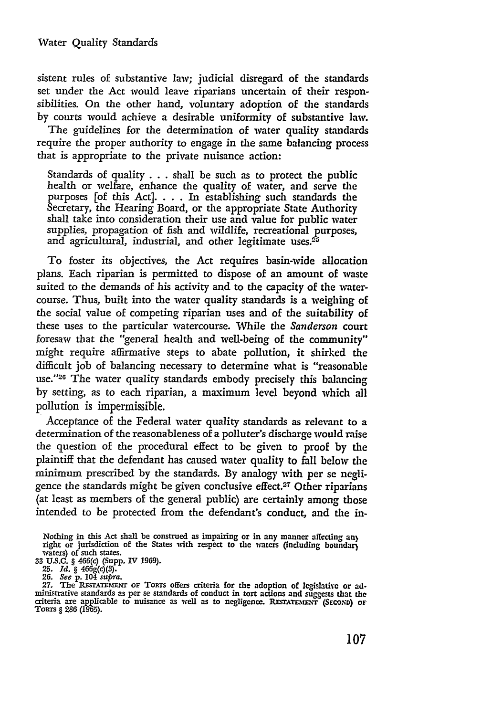sistent rules of substantive law; judicial disregard of the standards set under the Act would leave riparians uncertain of their responsibilities. On the other hand, voluntary adoption of the standards by courts would achieve a desirable uniformity of substantive law.

The guidelines for the determination of water quality standards require the proper authority to engage in the same balancing process that is appropriate to the private nuisance action:

Standards of quality. **.** shall be such as to protect the public health or welfare, enhance the quality of water, and serve the purposes [of this Act]. . . In establishing such standards the Secretary, the Hearing Board, or the appropriate State Authority shall take into consideration their use and value for public water supplies, propagation of fish and wildlife, recreational purposes, and agricultural, industrial, and other legitimate uses.<sup>25</sup>

To foster its objectives, the Act requires basin-wide allocation plans. Each riparian is permitted to dispose of an amount of waste suited to the demands of his activity and to the capacity of the watercourse. Thus, built into the water quality standards is a weighing of the social value of competing riparian uses and of the suitability of these uses to the particular watercourse. While the *Sanderson* court foresaw that the "general health and well-being of the community" might require affirmative steps to abate pollution, it shirked the difficult job of balancing necessary to determine what is "reasonable use."<sup>26</sup> The water quality standards embody precisely this balancing by setting, as to each riparian, a maximum level beyond which all pollution is impermissible.

Acceptance of the Federal water quality standards as relevant to a determination of the reasonableness of a polluter's discharge would raise the question of the procedural effect to be given to proof by the plaintiff that the defendant has caused water quality to fall below the minimum prescribed by the standards. By analogy with per se negligence the standards might be given conclusive effect.<sup>27</sup> Other riparians (at least as members of the general public) are certainly among those intended to be protected from the defendant's conduct, and the in-

**33 U.S.C.** § 466(c) (Supp. IV **1969).**

25. Id. § 466g(c)(3).<br>26. See p. 104 supra.<br>27. The RESTATEMENT OF TORTS offers criteria for the adoption of legislative or ad-<br>ministrative standards as per se standards of conduct in tort actions and suggests that the criteria are applicable to nuisance as well as to negligence. RESTATEMENT (SECOND) or<br>TORTS § 286 (1965).

Nothing in this Act shall be construed as impairing or in any manner affecting an) fight or jurisdiction of the States with respect to the waters (including boundar) waters) of such states.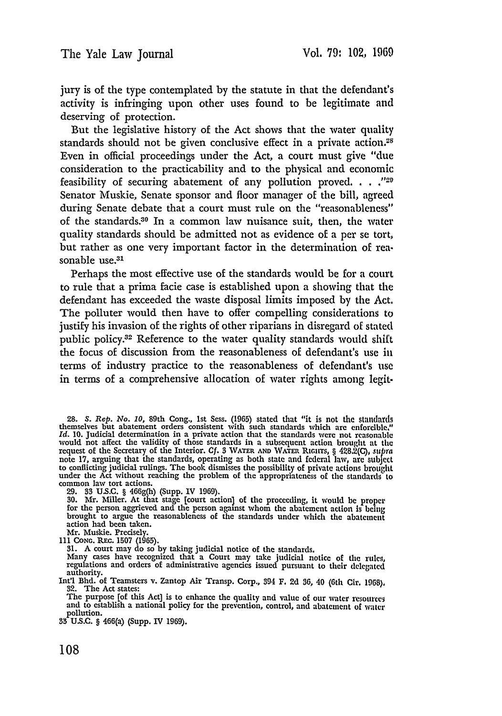jury is of the type contemplated by the statute in that the defendant's activity is infringing upon other uses found to be legitimate and deserving of protection.

But the legislative history of the Act shows that the water quality standards should not be given conclusive effect in a private action.<sup>28</sup> Even in official proceedings under the Act, a court must give "due consideration to the practicability and to the physical and economic feasibility of securing abatement of any pollution proved. **.. .** Senator Muskie, Senate sponsor and floor manager of the bill, agreed during Senate debate that a court must rule on the "reasonableness" of the standards.<sup>30</sup> In a common law nuisance suit, then, the water quality standards should be admitted not as evidence of a per se tort, but rather as one very important factor in the determination of reasonable use.<sup>31</sup>

Perhaps the most effective use of the standards would be for a court to rule that a prima facie case is established upon a showing that the defendant has exceeded the waste disposal limits imposed by the Act. The polluter would then have to offer compelling considerations to justify his invasion of the rights of other riparians in disregard of stated public policy.32 Reference to the water quality standards would shift the focus of discussion from the reasonableness of defendant's use in terms of industry practice to the reasonableness of defendant's use in terms of a comprehensive allocation of water rights among legit-

28. S. Rep. No. 10, 89th Cong., 1st Sess. (1965) stated that "it is not the standards themselves but abatement orders consistent with such standards which are enforcible."<br>Id. 10. Judicial determination in a private action would not affect the validity of those standards in a subsequent action brought **at** the request **of** the Secretary of the Interior. *Cf.* **3 WATER AND WATER Ricars,** § 428,2(C), *supra* note **17,** arguing that the standards, operating as both state and federal law, are subject to conflicting judicial rulings. The book dismisses the possibility of private actions brought under the Act without reaching the problem of the appropriateness of the standards to common law tort actions.

**29. 33 U.S.C.** § 466g(h) (Supp. **IV 1969). 30.** Mr. Miller. At that stage [court action) of the proceeding, it would **be** proper for the person aggrieved and the person against whom the abatement action Is **being** brought to argue the reasonableness of the standards under which the abatement action had been taken.

Mr. Muskie. Precisely.

**111 CONG.** REc. **1507 (1965). 31.** A court may do so **by** taking judicial notice of the standards. Many cases have recognized that a Court may take judicial notice of the rules, regulations and orders of administrative agencies issued pursuant to their delegated authority.

Int'l Bhd. of Teamsters v. Zantop Air Transp. Corp., **394** F. **2d 36,** 40 (6th Cir. **1968). 32.** The Act states:

The purpose [of this Act] is to enhance the quality and value of our water resources and to establish a national policy for the prevention, control, and abatement **of** water pollution. **33 U.S.C.** § 466(a) (Supp. IV 1969).

108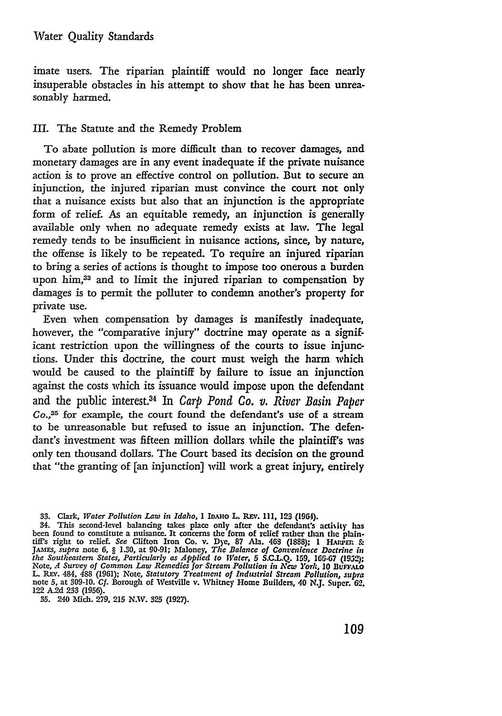imate users. The riparian plaintiff would no longer face nearly insuperable obstacles in his attempt to show that **he** has been unreasonably harmed.

### III. The Statute and the Remedy Problem

To abate pollution is more difficult than to recover damages, and monetary damages are in any event inadequate **if** the private nuisance action is to prove an effective control on pollution. But to secure an injunction, the injured riparian must convince the court not only that a nuisance exists but also that an injunction is the appropriate form of relief. As an equitable remedy, an injunction is generally available only when no adequate remedy exists at law. The legal remedy tends to be insufficient in nuisance actions, since, **by** nature, the offense is likely to be repeated. To require an injured riparian to bring a series of actions is thought to impose too onerous a burden upon him,<sup>33</sup> and to limit the injured riparian to compensation by damages is to permit the polluter to condemn another's property for private use.

Even when compensation **by** damages is manifestly inadequate, however, the "comparative injury" doctrine may operate as a signif**icant restriction upon the** willingness of the courts to issue injunctions. Under this doctrine, the court must weigh the harm which would be caused to the plaintiff **by** failure to issue an injunction against the costs which its issuance would impose upon the defendant and the public interest.34 In *Carp Pond Co. v. River Basin Paper Co.,13 <sup>5</sup>*for example, the court found the defendant's use of a stream to be unreasonable but refused to issue an injunction. The defendant's investment was fifteen million dollars while the plaintiffs was only ten thousand dollars. The Court based its decision on the ground that "the granting of [an injunction] will work a great injury, entirely

**35.** 240 Mich. 279, **215** N.V. **325 (1927).**

<sup>33.</sup> Clark, *Water Pollution Law in Idaho*, 1 IDAHO L. REV. 111, 123 (1964).

<sup>34.</sup> This second-level balancing takes place only after the defendant's activity has<br>been found to constitute a nuisance. It concerns the form of relief rather than the plain-<br>tiff's right to relief. See Clifton Iron Co. v. *the Southeastern States, Particularly as Applied to Water,* **5 S.C.L.Q. 159, 166.67 (1952);** Note, *A Survey of Common Law Remedies for Stream Pollution in New York,* **10** Bu'Au.o L. REv. 484, 488 (1961); Note, Statutory Treatment of Industrial Stream Pollution, supra<br>note 5, at 309-10. Cf. Borough of Westville v. Whitney Home Builders, 40 N.J. Super. 62. 122 **A.2d 233 (1956).**